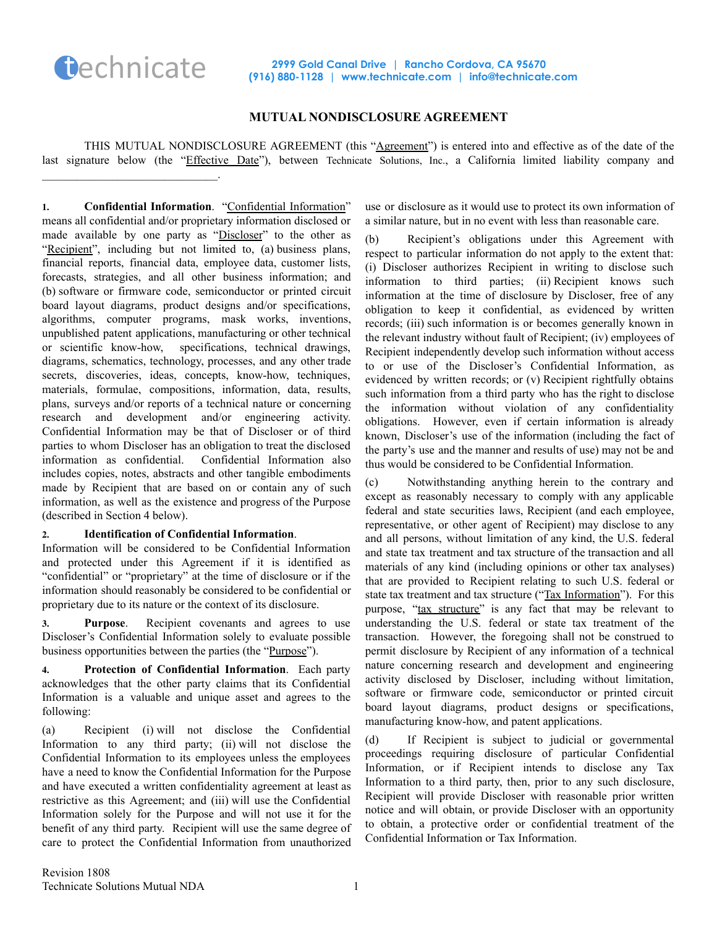

## **MUTUAL NONDISCLOSURE AGREEMENT**

THIS MUTUAL NONDISCLOSURE AGREEMENT (this "Agreement") is entered into and effective as of the date of the last signature below (the "Effective Date"), between Technicate Solutions, Inc., a California limited liability company and  $\mathcal{L}_\text{max}$  , where  $\mathcal{L}_\text{max}$  and  $\mathcal{L}_\text{max}$ 

**1. Confidential Information**. "Confidential Information" means all confidential and/or proprietary information disclosed or made available by one party as "Discloser" to the other as "Recipient", including but not limited to, (a) business plans, financial reports, financial data, employee data, customer lists, forecasts, strategies, and all other business information; and (b) software or firmware code, semiconductor or printed circuit board layout diagrams, product designs and/or specifications, algorithms, computer programs, mask works, inventions, unpublished patent applications, manufacturing or other technical or scientific know-how, specifications, technical drawings, diagrams, schematics, technology, processes, and any other trade secrets, discoveries, ideas, concepts, know-how, techniques, materials, formulae, compositions, information, data, results, plans, surveys and/or reports of a technical nature or concerning research and development and/or engineering activity. Confidential Information may be that of Discloser or of third parties to whom Discloser has an obligation to treat the disclosed information as confidential. Confidential Information also includes copies, notes, abstracts and other tangible embodiments made by Recipient that are based on or contain any of such information, as well as the existence and progress of the Purpose (described in Section 4 below).

## **2. Identification of Confidential Information**.

Information will be considered to be Confidential Information and protected under this Agreement if it is identified as "confidential" or "proprietary" at the time of disclosure or if the information should reasonably be considered to be confidential or proprietary due to its nature or the context of its disclosure.

**3. Purpose**. Recipient covenants and agrees to use Discloser's Confidential Information solely to evaluate possible business opportunities between the parties (the "Purpose").

**4. Protection of Confidential Information**. Each party acknowledges that the other party claims that its Confidential Information is a valuable and unique asset and agrees to the following:

(a) Recipient (i) will not disclose the Confidential Information to any third party; (ii) will not disclose the Confidential Information to its employees unless the employees have a need to know the Confidential Information for the Purpose and have executed a written confidentiality agreement at least as restrictive as this Agreement; and (iii) will use the Confidential Information solely for the Purpose and will not use it for the benefit of any third party. Recipient will use the same degree of care to protect the Confidential Information from unauthorized

use or disclosure as it would use to protect its own information of a similar nature, but in no event with less than reasonable care.

(b) Recipient's obligations under this Agreement with respect to particular information do not apply to the extent that: (i) Discloser authorizes Recipient in writing to disclose such information to third parties; (ii) Recipient knows such information at the time of disclosure by Discloser, free of any obligation to keep it confidential, as evidenced by written records; (iii) such information is or becomes generally known in the relevant industry without fault of Recipient; (iv) employees of Recipient independently develop such information without access to or use of the Discloser's Confidential Information, as evidenced by written records; or (v) Recipient rightfully obtains such information from a third party who has the right to disclose the information without violation of any confidentiality obligations. However, even if certain information is already known, Discloser's use of the information (including the fact of the party's use and the manner and results of use) may not be and thus would be considered to be Confidential Information.

(c) Notwithstanding anything herein to the contrary and except as reasonably necessary to comply with any applicable federal and state securities laws, Recipient (and each employee, representative, or other agent of Recipient) may disclose to any and all persons, without limitation of any kind, the U.S. federal and state tax treatment and tax structure of the transaction and all materials of any kind (including opinions or other tax analyses) that are provided to Recipient relating to such U.S. federal or state tax treatment and tax structure ("Tax Information"). For this purpose, "tax structure" is any fact that may be relevant to understanding the U.S. federal or state tax treatment of the transaction. However, the foregoing shall not be construed to permit disclosure by Recipient of any information of a technical nature concerning research and development and engineering activity disclosed by Discloser, including without limitation, software or firmware code, semiconductor or printed circuit board layout diagrams, product designs or specifications, manufacturing know-how, and patent applications.

(d) If Recipient is subject to judicial or governmental proceedings requiring disclosure of particular Confidential Information, or if Recipient intends to disclose any Tax Information to a third party, then, prior to any such disclosure, Recipient will provide Discloser with reasonable prior written notice and will obtain, or provide Discloser with an opportunity to obtain, a protective order or confidential treatment of the Confidential Information or Tax Information.